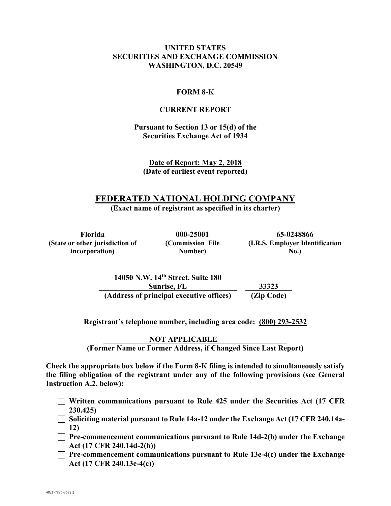### **UNITED STATES SECURITIES AND EXCHANGE COMMISSION WASHINGTON, D.C. 20549**

### **FORM 8-K**

### **CURRENT REPORT**

### **Pursuant to Section 13 or 15(d) of the Securities Exchange Act of 1934**

**Date of Report: May 2, 2018 (Date of earliest event reported)**

# **FEDERATED NATIONAL HOLDING COMPANY**

**(Exact name of registrant as specified in its charter)** 

**Florida 000-25001 65-0248866 (State or other jurisdiction of incorporation) (Commission File Number) (I.R.S. Employer Identification No.)** 

> **14050 N.W. 14th Street, Suite 180 Sunrise, FL 33323 (Address of principal executive offices) (Zip Code)**

**Registrant's telephone number, including area code: (800) 293-2532** 

 **NOT APPLICABLE (Former Name or Former Address, if Changed Since Last Report)** 

**Check the appropriate box below if the Form 8-K filing is intended to simultaneously satisfy the filing obligation of the registrant under any of the following provisions (see General Instruction A.2. below):** 

- **Written communications pursuant to Rule 425 under the Securities Act (17 CFR 230.425)**
- **Soliciting material pursuant to Rule 14a-12 under the Exchange Act (17 CFR 240.14a-12)**
- **Pre-commencement communications pursuant to Rule 14d-2(b) under the Exchange Act (17 CFR 240.14d-2(b))**
- **Pre-commencement communications pursuant to Rule 13e-4(c) under the Exchange Act (17 CFR 240.13e-4(c))**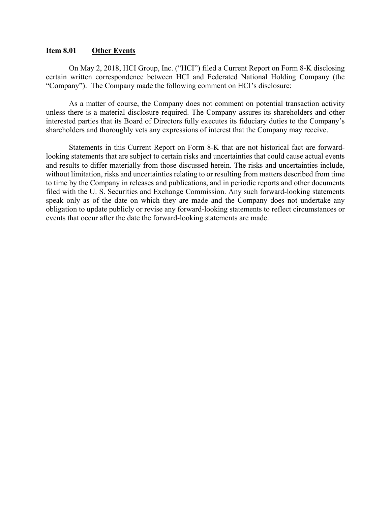### **Item 8.01 Other Events**

On May 2, 2018, HCI Group, Inc. ("HCI") filed a Current Report on Form 8-K disclosing certain written correspondence between HCI and Federated National Holding Company (the "Company"). The Company made the following comment on HCI's disclosure:

As a matter of course, the Company does not comment on potential transaction activity unless there is a material disclosure required. The Company assures its shareholders and other interested parties that its Board of Directors fully executes its fiduciary duties to the Company's shareholders and thoroughly vets any expressions of interest that the Company may receive.

Statements in this Current Report on Form 8-K that are not historical fact are forwardlooking statements that are subject to certain risks and uncertainties that could cause actual events and results to differ materially from those discussed herein. The risks and uncertainties include, without limitation, risks and uncertainties relating to or resulting from matters described from time to time by the Company in releases and publications, and in periodic reports and other documents filed with the U. S. Securities and Exchange Commission. Any such forward-looking statements speak only as of the date on which they are made and the Company does not undertake any obligation to update publicly or revise any forward-looking statements to reflect circumstances or events that occur after the date the forward-looking statements are made.